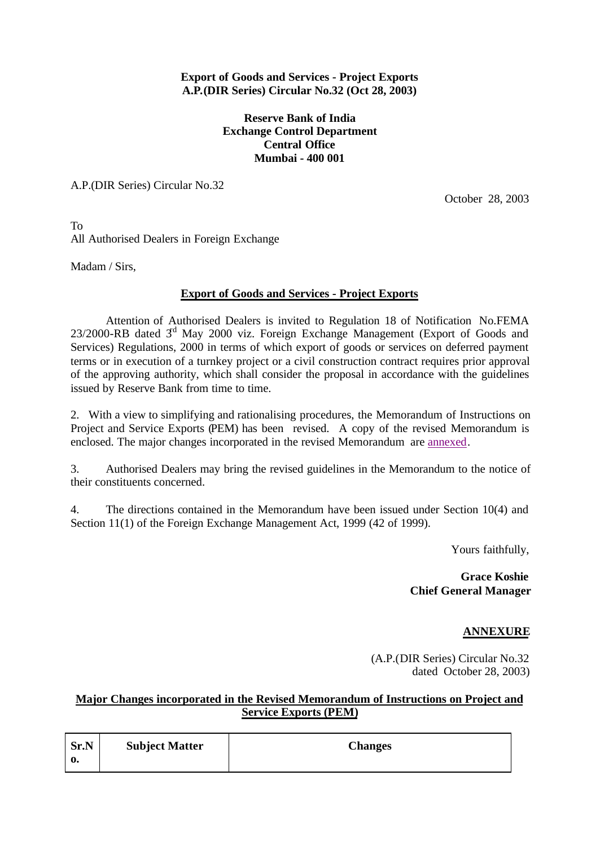# **Export of Goods and Services - Project Exports A.P.(DIR Series) Circular No.32 (Oct 28, 2003)**

## **Reserve Bank of India Exchange Control Department Central Office Mumbai - 400 001**

A.P.(DIR Series) Circular No.32

October 28, 2003

To All Authorised Dealers in Foreign Exchange

Madam / Sirs,

# **Export of Goods and Services - Project Exports**

Attention of Authorised Dealers is invited to Regulation 18 of Notification No.FEMA  $23/2000$ -RB dated  $3<sup>d</sup>$  May 2000 viz. Foreign Exchange Management (Export of Goods and Services) Regulations, 2000 in terms of which export of goods or services on deferred payment terms or in execution of a turnkey project or a civil construction contract requires prior approval of the approving authority, which shall consider the proposal in accordance with the guidelines issued by Reserve Bank from time to time.

2. With a view to simplifying and rationalising procedures, the Memorandum of Instructions on Project and Service Exports (PEM) has been revised. A copy of the revised Memorandum is enclosed. The major changes incorporated in the revised Memorandum are annexed.

3. Authorised Dealers may bring the revised guidelines in the Memorandum to the notice of their constituents concerned.

4. The directions contained in the Memorandum have been issued under Section 10(4) and Section 11(1) of the Foreign Exchange Management Act, 1999 (42 of 1999).

Yours faithfully,

**Grace Koshie Chief General Manager**

# **ANNEXURE**

 (A.P.(DIR Series) Circular No.32 dated October 28, 2003)

# **Major Changes incorporated in the Revised Memorandum of Instructions on Project and Service Exports (PEM)**

| Sr.N | <b>Subject Matter</b> | <b>Changes</b> |
|------|-----------------------|----------------|
| - 0. |                       |                |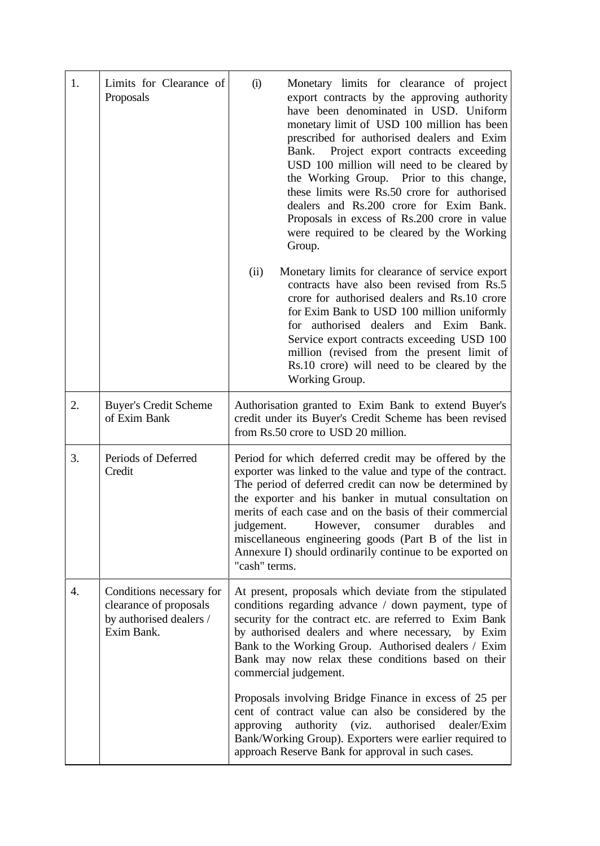| 1. | Limits for Clearance of<br>Proposals                                                        | (i)<br>Monetary limits for clearance of project<br>export contracts by the approving authority<br>have been denominated in USD. Uniform<br>monetary limit of USD 100 million has been<br>prescribed for authorised dealers and Exim<br>Bank. Project export contracts exceeding<br>USD 100 million will need to be cleared by<br>the Working Group. Prior to this change,<br>these limits were Rs.50 crore for authorised<br>dealers and Rs.200 crore for Exim Bank.<br>Proposals in excess of Rs.200 crore in value<br>were required to be cleared by the Working<br>Group. |
|----|---------------------------------------------------------------------------------------------|------------------------------------------------------------------------------------------------------------------------------------------------------------------------------------------------------------------------------------------------------------------------------------------------------------------------------------------------------------------------------------------------------------------------------------------------------------------------------------------------------------------------------------------------------------------------------|
|    |                                                                                             | Monetary limits for clearance of service export<br>(ii)<br>contracts have also been revised from Rs.5<br>crore for authorised dealers and Rs.10 crore<br>for Exim Bank to USD 100 million uniformly<br>for authorised dealers and Exim Bank.<br>Service export contracts exceeding USD 100<br>million (revised from the present limit of<br>Rs.10 crore) will need to be cleared by the<br>Working Group.                                                                                                                                                                    |
| 2. | <b>Buyer's Credit Scheme</b><br>of Exim Bank                                                | Authorisation granted to Exim Bank to extend Buyer's<br>credit under its Buyer's Credit Scheme has been revised<br>from Rs.50 crore to USD 20 million.                                                                                                                                                                                                                                                                                                                                                                                                                       |
| 3. | Periods of Deferred<br>Credit                                                               | Period for which deferred credit may be offered by the<br>exporter was linked to the value and type of the contract.<br>The period of deferred credit can now be determined by<br>the exporter and his banker in mutual consultation on<br>merits of each case and on the basis of their commercial<br>However,<br>judgement.<br>consumer<br>durables<br>and<br>miscellaneous engineering goods (Part B of the list in<br>Annexure I) should ordinarily continue to be exported on<br>"cash" terms.                                                                          |
| 4. | Conditions necessary for<br>clearance of proposals<br>by authorised dealers /<br>Exim Bank. | At present, proposals which deviate from the stipulated<br>conditions regarding advance / down payment, type of<br>security for the contract etc. are referred to Exim Bank<br>by authorised dealers and where necessary,<br>by Exim<br>Bank to the Working Group. Authorised dealers / Exim<br>Bank may now relax these conditions based on their<br>commercial judgement.                                                                                                                                                                                                  |
|    |                                                                                             | Proposals involving Bridge Finance in excess of 25 per<br>cent of contract value can also be considered by the<br>authority<br>(viz.<br>authorised<br>dealer/Exim<br>approving<br>Bank/Working Group). Exporters were earlier required to<br>approach Reserve Bank for approval in such cases.                                                                                                                                                                                                                                                                               |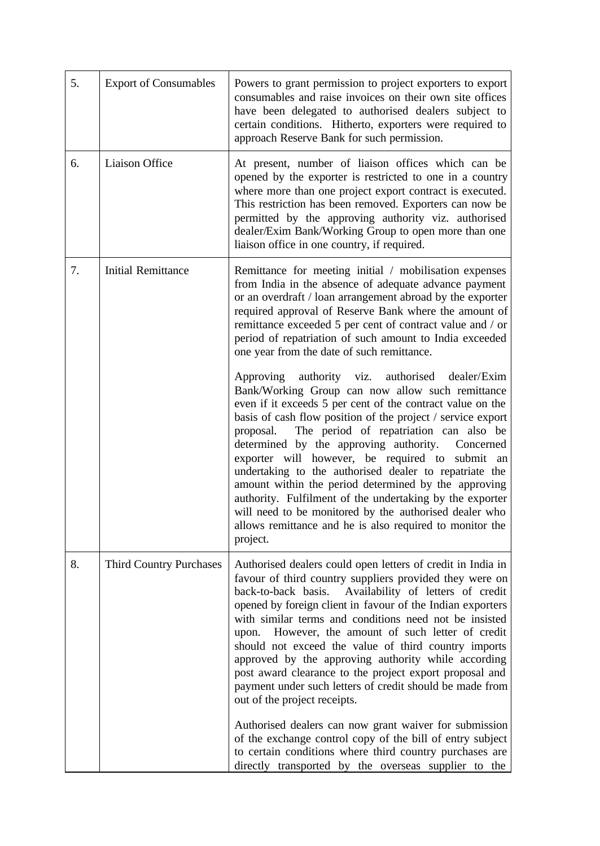| 5. | <b>Export of Consumables</b>   | Powers to grant permission to project exporters to export<br>consumables and raise invoices on their own site offices<br>have been delegated to authorised dealers subject to<br>certain conditions. Hitherto, exporters were required to<br>approach Reserve Bank for such permission.                                                                                                                                                                                                                                                                                                                                                                                                                        |
|----|--------------------------------|----------------------------------------------------------------------------------------------------------------------------------------------------------------------------------------------------------------------------------------------------------------------------------------------------------------------------------------------------------------------------------------------------------------------------------------------------------------------------------------------------------------------------------------------------------------------------------------------------------------------------------------------------------------------------------------------------------------|
| 6. | Liaison Office                 | At present, number of liaison offices which can be<br>opened by the exporter is restricted to one in a country<br>where more than one project export contract is executed.<br>This restriction has been removed. Exporters can now be<br>permitted by the approving authority viz. authorised<br>dealer/Exim Bank/Working Group to open more than one<br>liaison office in one country, if required.                                                                                                                                                                                                                                                                                                           |
| 7. | <b>Initial Remittance</b>      | Remittance for meeting initial / mobilisation expenses<br>from India in the absence of adequate advance payment<br>or an overdraft / loan arrangement abroad by the exporter<br>required approval of Reserve Bank where the amount of<br>remittance exceeded 5 per cent of contract value and / or<br>period of repatriation of such amount to India exceeded<br>one year from the date of such remittance.                                                                                                                                                                                                                                                                                                    |
|    |                                | Approving authority viz.<br>authorised dealer/Exim<br>Bank/Working Group can now allow such remittance<br>even if it exceeds 5 per cent of the contract value on the<br>basis of cash flow position of the project / service export<br>proposal. The period of repatriation can also be<br>determined by the approving authority. Concerned<br>exporter will however, be required to submit an<br>undertaking to the authorised dealer to repatriate the<br>amount within the period determined by the approving<br>authority. Fulfilment of the undertaking by the exporter<br>will need to be monitored by the authorised dealer who<br>allows remittance and he is also required to monitor the<br>project. |
| 8. | <b>Third Country Purchases</b> | Authorised dealers could open letters of credit in India in<br>favour of third country suppliers provided they were on<br>Availability of letters of credit<br>back-to-back basis.<br>opened by foreign client in favour of the Indian exporters<br>with similar terms and conditions need not be insisted<br>However, the amount of such letter of credit<br>upon.<br>should not exceed the value of third country imports<br>approved by the approving authority while according<br>post award clearance to the project export proposal and<br>payment under such letters of credit should be made from<br>out of the project receipts.                                                                      |
|    |                                | Authorised dealers can now grant waiver for submission<br>of the exchange control copy of the bill of entry subject<br>to certain conditions where third country purchases are<br>directly transported by the overseas supplier to the                                                                                                                                                                                                                                                                                                                                                                                                                                                                         |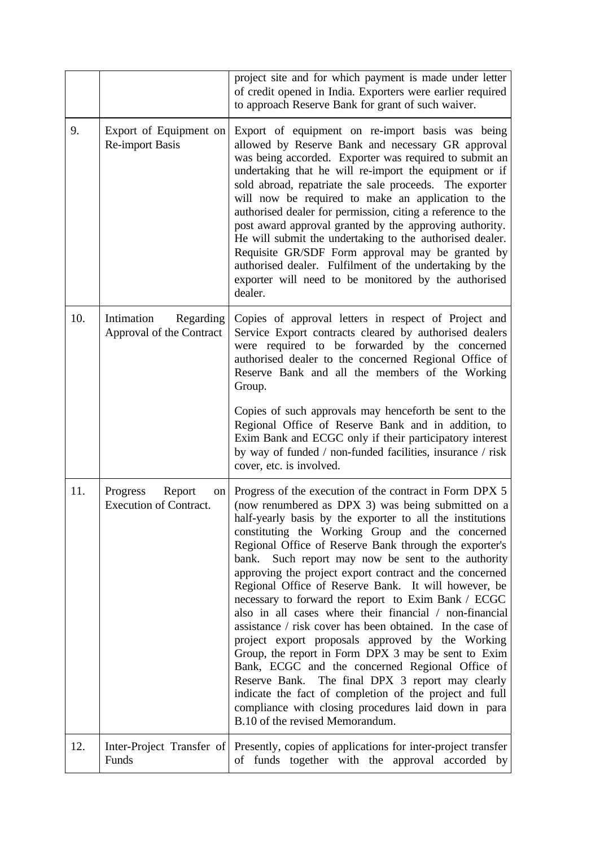|     |                                                           | project site and for which payment is made under letter<br>of credit opened in India. Exporters were earlier required<br>to approach Reserve Bank for grant of such waiver.                                                                                                                                                                                                                                                                                                                                                                                                                                                                                                                                                                                                                                                                                                                                                                                                                                                 |
|-----|-----------------------------------------------------------|-----------------------------------------------------------------------------------------------------------------------------------------------------------------------------------------------------------------------------------------------------------------------------------------------------------------------------------------------------------------------------------------------------------------------------------------------------------------------------------------------------------------------------------------------------------------------------------------------------------------------------------------------------------------------------------------------------------------------------------------------------------------------------------------------------------------------------------------------------------------------------------------------------------------------------------------------------------------------------------------------------------------------------|
| 9.  | Export of Equipment on<br><b>Re-import Basis</b>          | Export of equipment on re-import basis was being<br>allowed by Reserve Bank and necessary GR approval<br>was being accorded. Exporter was required to submit an<br>undertaking that he will re-import the equipment or if<br>sold abroad, repatriate the sale proceeds. The exporter<br>will now be required to make an application to the<br>authorised dealer for permission, citing a reference to the<br>post award approval granted by the approving authority.<br>He will submit the undertaking to the authorised dealer.<br>Requisite GR/SDF Form approval may be granted by<br>authorised dealer. Fulfilment of the undertaking by the<br>exporter will need to be monitored by the authorised<br>dealer.                                                                                                                                                                                                                                                                                                          |
| 10. | Intimation<br>Regarding<br>Approval of the Contract       | Copies of approval letters in respect of Project and<br>Service Export contracts cleared by authorised dealers<br>were required to be forwarded by the concerned<br>authorised dealer to the concerned Regional Office of<br>Reserve Bank and all the members of the Working<br>Group.<br>Copies of such approvals may henceforth be sent to the<br>Regional Office of Reserve Bank and in addition, to<br>Exim Bank and ECGC only if their participatory interest<br>by way of funded / non-funded facilities, insurance / risk<br>cover, etc. is involved.                                                                                                                                                                                                                                                                                                                                                                                                                                                                |
| 11. | Progress<br>Report<br>on<br><b>Execution of Contract.</b> | Progress of the execution of the contract in Form DPX 5<br>(now renumbered as DPX 3) was being submitted on a<br>half-yearly basis by the exporter to all the institutions<br>constituting the Working Group and the concerned<br>Regional Office of Reserve Bank through the exporter's<br>Such report may now be sent to the authority<br>bank.<br>approving the project export contract and the concerned<br>Regional Office of Reserve Bank. It will however, be<br>necessary to forward the report to Exim Bank / ECGC<br>also in all cases where their financial / non-financial<br>assistance / risk cover has been obtained. In the case of<br>project export proposals approved by the Working<br>Group, the report in Form DPX 3 may be sent to Exim<br>Bank, ECGC and the concerned Regional Office of<br>Reserve Bank. The final DPX 3 report may clearly<br>indicate the fact of completion of the project and full<br>compliance with closing procedures laid down in para<br>B.10 of the revised Memorandum. |
| 12. | Funds                                                     | Inter-Project Transfer of Presently, copies of applications for inter-project transfer<br>of funds together with the approval accorded by                                                                                                                                                                                                                                                                                                                                                                                                                                                                                                                                                                                                                                                                                                                                                                                                                                                                                   |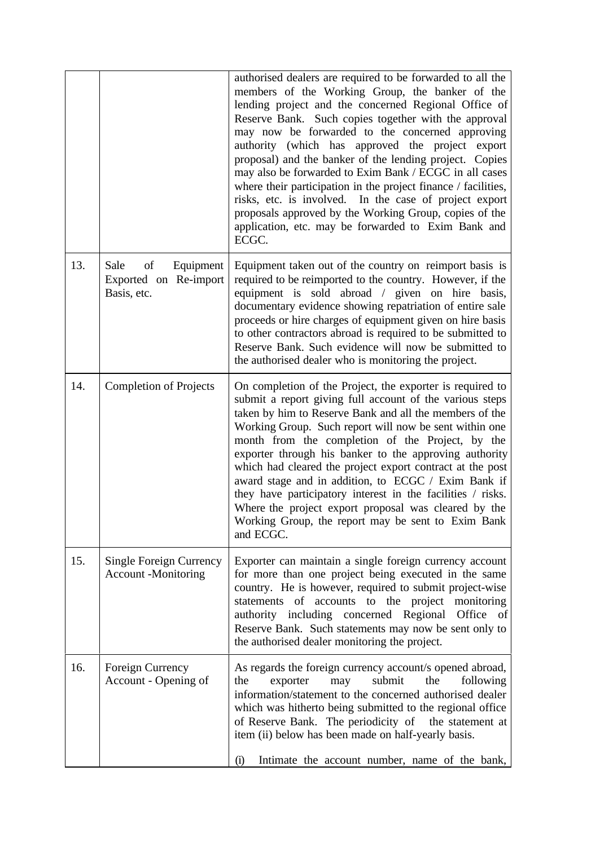|     |                                                                 | authorised dealers are required to be forwarded to all the<br>members of the Working Group, the banker of the<br>lending project and the concerned Regional Office of<br>Reserve Bank. Such copies together with the approval<br>may now be forwarded to the concerned approving<br>authority (which has approved the project export<br>proposal) and the banker of the lending project. Copies<br>may also be forwarded to Exim Bank / ECGC in all cases<br>where their participation in the project finance / facilities,<br>risks, etc. is involved. In the case of project export<br>proposals approved by the Working Group, copies of the<br>application, etc. may be forwarded to Exim Bank and<br>ECGC. |
|-----|-----------------------------------------------------------------|-----------------------------------------------------------------------------------------------------------------------------------------------------------------------------------------------------------------------------------------------------------------------------------------------------------------------------------------------------------------------------------------------------------------------------------------------------------------------------------------------------------------------------------------------------------------------------------------------------------------------------------------------------------------------------------------------------------------|
| 13. | Equipment<br>of<br>Sale<br>Exported on Re-import<br>Basis, etc. | Equipment taken out of the country on reimport basis is<br>required to be reimported to the country. However, if the<br>equipment is sold abroad / given on hire basis,<br>documentary evidence showing repatriation of entire sale<br>proceeds or hire charges of equipment given on hire basis<br>to other contractors abroad is required to be submitted to<br>Reserve Bank. Such evidence will now be submitted to<br>the authorised dealer who is monitoring the project.                                                                                                                                                                                                                                  |
| 14. | <b>Completion of Projects</b>                                   | On completion of the Project, the exporter is required to<br>submit a report giving full account of the various steps<br>taken by him to Reserve Bank and all the members of the<br>Working Group. Such report will now be sent within one<br>month from the completion of the Project, by the<br>exporter through his banker to the approving authority<br>which had cleared the project export contract at the post<br>award stage and in addition, to ECGC / Exim Bank if<br>they have participatory interest in the facilities / risks.<br>Where the project export proposal was cleared by the<br>Working Group, the report may be sent to Exim Bank<br>and ECGC.                                          |
| 15. | <b>Single Foreign Currency</b><br><b>Account</b> - Monitoring   | Exporter can maintain a single foreign currency account<br>for more than one project being executed in the same<br>country. He is however, required to submit project-wise<br>statements of accounts to the project monitoring<br>authority including concerned Regional Office of<br>Reserve Bank. Such statements may now be sent only to<br>the authorised dealer monitoring the project.                                                                                                                                                                                                                                                                                                                    |
| 16. | Foreign Currency<br>Account - Opening of                        | As regards the foreign currency account/s opened abroad,<br>submit<br>the<br>exporter<br>may<br>following<br>the<br>information/statement to the concerned authorised dealer<br>which was hitherto being submitted to the regional office<br>of Reserve Bank. The periodicity of the statement at<br>item (ii) below has been made on half-yearly basis.<br>Intimate the account number, name of the bank,<br>(i)                                                                                                                                                                                                                                                                                               |